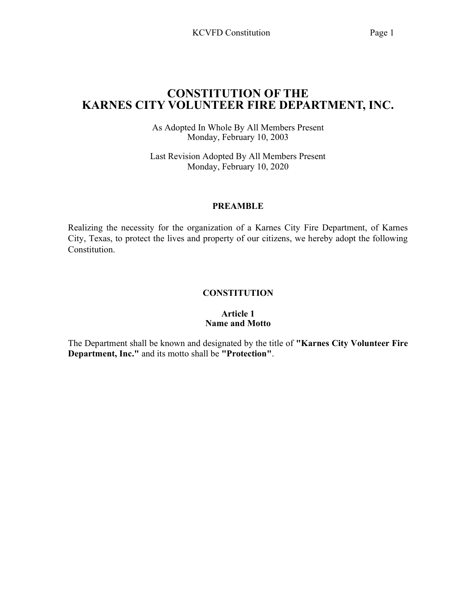# CONSTITUTION OF THE KARNES CITY VOLUNTEER FIRE DEPARTMENT, INC.

As Adopted In Whole By All Members Present Monday, February 10, 2003

Last Revision Adopted By All Members Present Monday, February 10, 2020

## PREAMBLE

Realizing the necessity for the organization of a Karnes City Fire Department, of Karnes City, Texas, to protect the lives and property of our citizens, we hereby adopt the following Constitution.

# **CONSTITUTION**

## Article 1 Name and Motto

The Department shall be known and designated by the title of "Karnes City Volunteer Fire Department, Inc." and its motto shall be "Protection".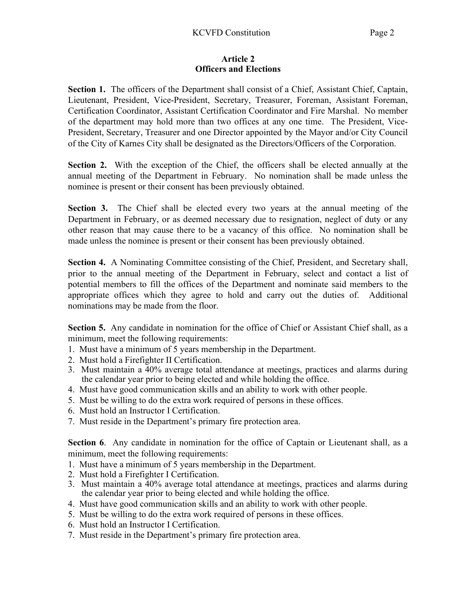#### Article 2 Officers and Elections

Section 1. The officers of the Department shall consist of a Chief, Assistant Chief, Captain, Lieutenant, President, Vice-President, Secretary, Treasurer, Foreman, Assistant Foreman, Certification Coordinator, Assistant Certification Coordinator and Fire Marshal. No member of the department may hold more than two offices at any one time. The President, Vice-President, Secretary, Treasurer and one Director appointed by the Mayor and/or City Council of the City of Karnes City shall be designated as the Directors/Officers of the Corporation.

Section 2. With the exception of the Chief, the officers shall be elected annually at the annual meeting of the Department in February. No nomination shall be made unless the nominee is present or their consent has been previously obtained.

Section 3. The Chief shall be elected every two years at the annual meeting of the Department in February, or as deemed necessary due to resignation, neglect of duty or any other reason that may cause there to be a vacancy of this office. No nomination shall be made unless the nominee is present or their consent has been previously obtained.

Section 4. A Nominating Committee consisting of the Chief, President, and Secretary shall, prior to the annual meeting of the Department in February, select and contact a list of potential members to fill the offices of the Department and nominate said members to the appropriate offices which they agree to hold and carry out the duties of. Additional nominations may be made from the floor.

Section 5. Any candidate in nomination for the office of Chief or Assistant Chief shall, as a minimum, meet the following requirements:

- 1. Must have a minimum of 5 years membership in the Department.
- 2. Must hold a Firefighter II Certification.
- 3. Must maintain a 40% average total attendance at meetings, practices and alarms during the calendar year prior to being elected and while holding the office.
- 4. Must have good communication skills and an ability to work with other people.
- 5. Must be willing to do the extra work required of persons in these offices.
- 6. Must hold an Instructor I Certification.
- 7. Must reside in the Department's primary fire protection area.

Section 6. Any candidate in nomination for the office of Captain or Lieutenant shall, as a minimum, meet the following requirements:

- 1. Must have a minimum of 5 years membership in the Department.
- 2. Must hold a Firefighter I Certification.
- 3. Must maintain a 40% average total attendance at meetings, practices and alarms during the calendar year prior to being elected and while holding the office.
- 4. Must have good communication skills and an ability to work with other people.
- 5. Must be willing to do the extra work required of persons in these offices.
- 6. Must hold an Instructor I Certification.
- 7. Must reside in the Department's primary fire protection area.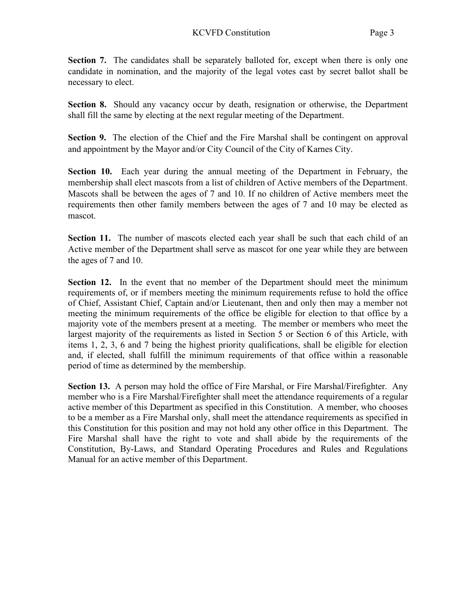Section 7. The candidates shall be separately balloted for, except when there is only one candidate in nomination, and the majority of the legal votes cast by secret ballot shall be necessary to elect.

Section 8. Should any vacancy occur by death, resignation or otherwise, the Department shall fill the same by electing at the next regular meeting of the Department.

Section 9. The election of the Chief and the Fire Marshal shall be contingent on approval and appointment by the Mayor and/or City Council of the City of Karnes City.

Section 10. Each year during the annual meeting of the Department in February, the membership shall elect mascots from a list of children of Active members of the Department. Mascots shall be between the ages of 7 and 10. If no children of Active members meet the requirements then other family members between the ages of 7 and 10 may be elected as mascot.

Section 11. The number of mascots elected each year shall be such that each child of an Active member of the Department shall serve as mascot for one year while they are between the ages of 7 and 10.

Section 12. In the event that no member of the Department should meet the minimum requirements of, or if members meeting the minimum requirements refuse to hold the office of Chief, Assistant Chief, Captain and/or Lieutenant, then and only then may a member not meeting the minimum requirements of the office be eligible for election to that office by a majority vote of the members present at a meeting. The member or members who meet the largest majority of the requirements as listed in Section 5 or Section 6 of this Article, with items 1, 2, 3, 6 and 7 being the highest priority qualifications, shall be eligible for election and, if elected, shall fulfill the minimum requirements of that office within a reasonable period of time as determined by the membership.

Section 13. A person may hold the office of Fire Marshal, or Fire Marshal/Firefighter. Any member who is a Fire Marshal/Firefighter shall meet the attendance requirements of a regular active member of this Department as specified in this Constitution. A member, who chooses to be a member as a Fire Marshal only, shall meet the attendance requirements as specified in this Constitution for this position and may not hold any other office in this Department. The Fire Marshal shall have the right to vote and shall abide by the requirements of the Constitution, By-Laws, and Standard Operating Procedures and Rules and Regulations Manual for an active member of this Department.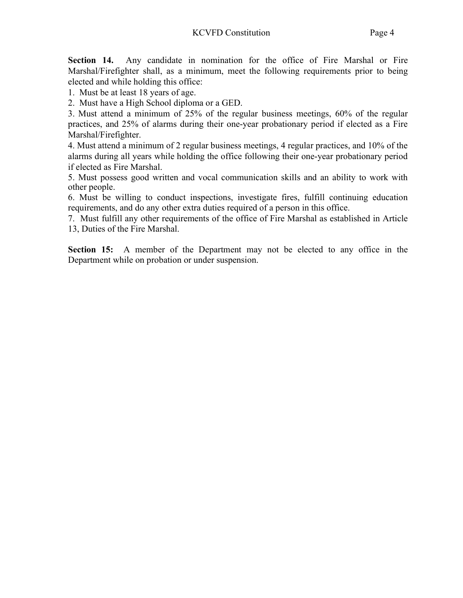Section 14. Any candidate in nomination for the office of Fire Marshal or Fire Marshal/Firefighter shall, as a minimum, meet the following requirements prior to being elected and while holding this office:

1. Must be at least 18 years of age.

2. Must have a High School diploma or a GED.

3. Must attend a minimum of 25% of the regular business meetings, 60% of the regular practices, and 25% of alarms during their one-year probationary period if elected as a Fire Marshal/Firefighter.

4. Must attend a minimum of 2 regular business meetings, 4 regular practices, and 10% of the alarms during all years while holding the office following their one-year probationary period if elected as Fire Marshal.

5. Must possess good written and vocal communication skills and an ability to work with other people.

6. Must be willing to conduct inspections, investigate fires, fulfill continuing education requirements, and do any other extra duties required of a person in this office.

7. Must fulfill any other requirements of the office of Fire Marshal as established in Article 13, Duties of the Fire Marshal.

Section 15: A member of the Department may not be elected to any office in the Department while on probation or under suspension.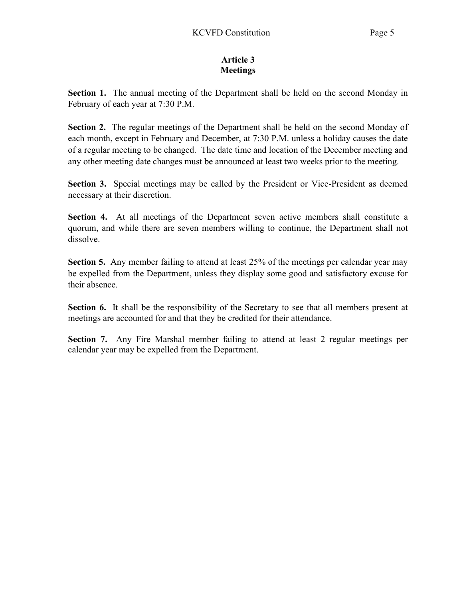# Article 3 **Meetings**

Section 1. The annual meeting of the Department shall be held on the second Monday in February of each year at 7:30 P.M.

Section 2. The regular meetings of the Department shall be held on the second Monday of each month, except in February and December, at 7:30 P.M. unless a holiday causes the date of a regular meeting to be changed. The date time and location of the December meeting and any other meeting date changes must be announced at least two weeks prior to the meeting.

Section 3. Special meetings may be called by the President or Vice-President as deemed necessary at their discretion.

Section 4. At all meetings of the Department seven active members shall constitute a quorum, and while there are seven members willing to continue, the Department shall not dissolve.

Section 5. Any member failing to attend at least 25% of the meetings per calendar year may be expelled from the Department, unless they display some good and satisfactory excuse for their absence.

Section 6. It shall be the responsibility of the Secretary to see that all members present at meetings are accounted for and that they be credited for their attendance.

Section 7. Any Fire Marshal member failing to attend at least 2 regular meetings per calendar year may be expelled from the Department.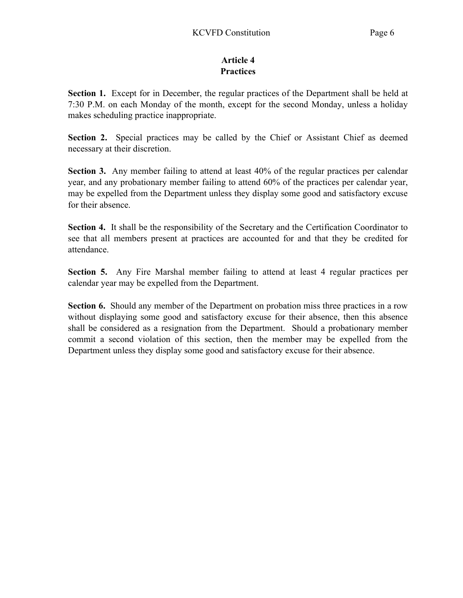# Article 4 **Practices**

Section 1. Except for in December, the regular practices of the Department shall be held at 7:30 P.M. on each Monday of the month, except for the second Monday, unless a holiday makes scheduling practice inappropriate.

Section 2. Special practices may be called by the Chief or Assistant Chief as deemed necessary at their discretion.

Section 3. Any member failing to attend at least 40% of the regular practices per calendar year, and any probationary member failing to attend 60% of the practices per calendar year, may be expelled from the Department unless they display some good and satisfactory excuse for their absence.

Section 4. It shall be the responsibility of the Secretary and the Certification Coordinator to see that all members present at practices are accounted for and that they be credited for attendance.

Section 5. Any Fire Marshal member failing to attend at least 4 regular practices per calendar year may be expelled from the Department.

Section 6. Should any member of the Department on probation miss three practices in a row without displaying some good and satisfactory excuse for their absence, then this absence shall be considered as a resignation from the Department. Should a probationary member commit a second violation of this section, then the member may be expelled from the Department unless they display some good and satisfactory excuse for their absence.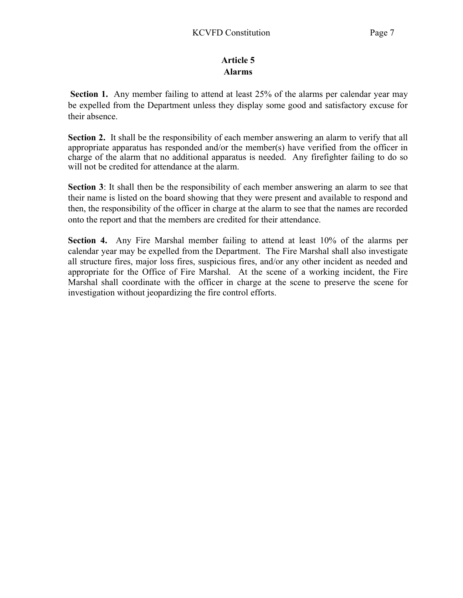# Article 5 Alarms

Section 1. Any member failing to attend at least 25% of the alarms per calendar year may be expelled from the Department unless they display some good and satisfactory excuse for their absence.

Section 2. It shall be the responsibility of each member answering an alarm to verify that all appropriate apparatus has responded and/or the member(s) have verified from the officer in charge of the alarm that no additional apparatus is needed. Any firefighter failing to do so will not be credited for attendance at the alarm.

Section 3: It shall then be the responsibility of each member answering an alarm to see that their name is listed on the board showing that they were present and available to respond and then, the responsibility of the officer in charge at the alarm to see that the names are recorded onto the report and that the members are credited for their attendance.

Section 4. Any Fire Marshal member failing to attend at least 10% of the alarms per calendar year may be expelled from the Department. The Fire Marshal shall also investigate all structure fires, major loss fires, suspicious fires, and/or any other incident as needed and appropriate for the Office of Fire Marshal. At the scene of a working incident, the Fire Marshal shall coordinate with the officer in charge at the scene to preserve the scene for investigation without jeopardizing the fire control efforts.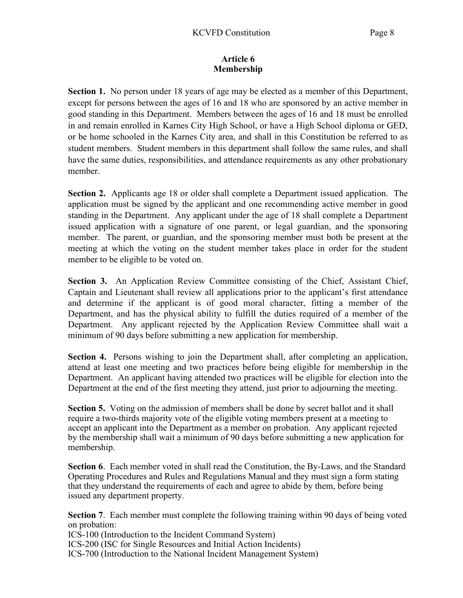### Article 6 Membership

Section 1. No person under 18 years of age may be elected as a member of this Department, except for persons between the ages of 16 and 18 who are sponsored by an active member in good standing in this Department. Members between the ages of 16 and 18 must be enrolled in and remain enrolled in Karnes City High School, or have a High School diploma or GED, or be home schooled in the Karnes City area, and shall in this Constitution be referred to as student members. Student members in this department shall follow the same rules, and shall have the same duties, responsibilities, and attendance requirements as any other probationary member.

Section 2. Applicants age 18 or older shall complete a Department issued application. The application must be signed by the applicant and one recommending active member in good standing in the Department. Any applicant under the age of 18 shall complete a Department issued application with a signature of one parent, or legal guardian, and the sponsoring member. The parent, or guardian, and the sponsoring member must both be present at the meeting at which the voting on the student member takes place in order for the student member to be eligible to be voted on.

Section 3. An Application Review Committee consisting of the Chief, Assistant Chief, Captain and Lieutenant shall review all applications prior to the applicant's first attendance and determine if the applicant is of good moral character, fitting a member of the Department, and has the physical ability to fulfill the duties required of a member of the Department. Any applicant rejected by the Application Review Committee shall wait a minimum of 90 days before submitting a new application for membership.

Section 4. Persons wishing to join the Department shall, after completing an application, attend at least one meeting and two practices before being eligible for membership in the Department. An applicant having attended two practices will be eligible for election into the Department at the end of the first meeting they attend, just prior to adjourning the meeting.

Section 5. Voting on the admission of members shall be done by secret ballot and it shall require a two-thirds majority vote of the eligible voting members present at a meeting to accept an applicant into the Department as a member on probation. Any applicant rejected by the membership shall wait a minimum of 90 days before submitting a new application for membership.

Section 6. Each member voted in shall read the Constitution, the By-Laws, and the Standard Operating Procedures and Rules and Regulations Manual and they must sign a form stating that they understand the requirements of each and agree to abide by them, before being issued any department property.

Section 7. Each member must complete the following training within 90 days of being voted on probation:

ICS-100 (Introduction to the Incident Command System)

ICS-200 (ISC for Single Resources and Initial Action Incidents)

ICS-700 (Introduction to the National Incident Management System)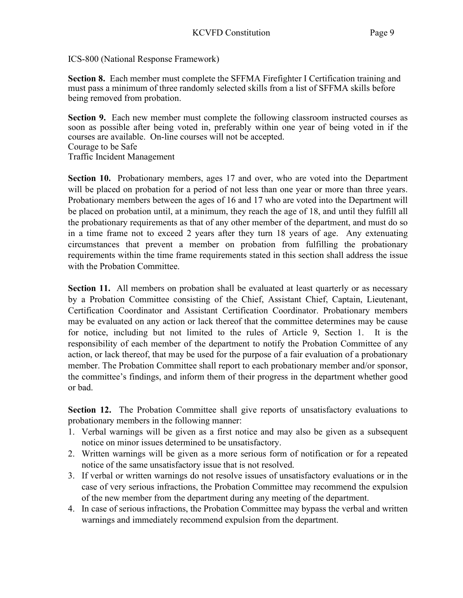ICS-800 (National Response Framework)

Section 8. Each member must complete the SFFMA Firefighter I Certification training and must pass a minimum of three randomly selected skills from a list of SFFMA skills before being removed from probation.

Section 9. Each new member must complete the following classroom instructed courses as soon as possible after being voted in, preferably within one year of being voted in if the courses are available. On-line courses will not be accepted. Courage to be Safe Traffic Incident Management

Section 10. Probationary members, ages 17 and over, who are voted into the Department will be placed on probation for a period of not less than one year or more than three years. Probationary members between the ages of 16 and 17 who are voted into the Department will be placed on probation until, at a minimum, they reach the age of 18, and until they fulfill all the probationary requirements as that of any other member of the department, and must do so in a time frame not to exceed 2 years after they turn 18 years of age. Any extenuating circumstances that prevent a member on probation from fulfilling the probationary requirements within the time frame requirements stated in this section shall address the issue with the Probation Committee.

Section 11. All members on probation shall be evaluated at least quarterly or as necessary by a Probation Committee consisting of the Chief, Assistant Chief, Captain, Lieutenant, Certification Coordinator and Assistant Certification Coordinator. Probationary members may be evaluated on any action or lack thereof that the committee determines may be cause for notice, including but not limited to the rules of Article 9, Section 1. It is the responsibility of each member of the department to notify the Probation Committee of any action, or lack thereof, that may be used for the purpose of a fair evaluation of a probationary member. The Probation Committee shall report to each probationary member and/or sponsor, the committee's findings, and inform them of their progress in the department whether good or bad.

Section 12. The Probation Committee shall give reports of unsatisfactory evaluations to probationary members in the following manner:

- 1. Verbal warnings will be given as a first notice and may also be given as a subsequent notice on minor issues determined to be unsatisfactory.
- 2. Written warnings will be given as a more serious form of notification or for a repeated notice of the same unsatisfactory issue that is not resolved.
- 3. If verbal or written warnings do not resolve issues of unsatisfactory evaluations or in the case of very serious infractions, the Probation Committee may recommend the expulsion of the new member from the department during any meeting of the department.
- 4. In case of serious infractions, the Probation Committee may bypass the verbal and written warnings and immediately recommend expulsion from the department.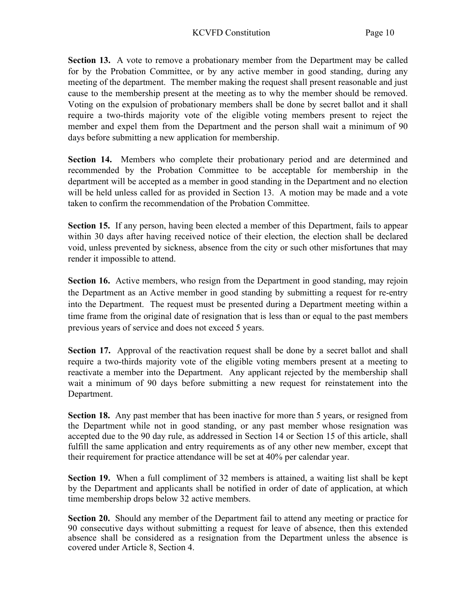Section 13. A vote to remove a probationary member from the Department may be called for by the Probation Committee, or by any active member in good standing, during any meeting of the department. The member making the request shall present reasonable and just cause to the membership present at the meeting as to why the member should be removed. Voting on the expulsion of probationary members shall be done by secret ballot and it shall require a two-thirds majority vote of the eligible voting members present to reject the member and expel them from the Department and the person shall wait a minimum of 90 days before submitting a new application for membership.

Section 14. Members who complete their probationary period and are determined and recommended by the Probation Committee to be acceptable for membership in the department will be accepted as a member in good standing in the Department and no election will be held unless called for as provided in Section 13. A motion may be made and a vote taken to confirm the recommendation of the Probation Committee.

Section 15. If any person, having been elected a member of this Department, fails to appear within 30 days after having received notice of their election, the election shall be declared void, unless prevented by sickness, absence from the city or such other misfortunes that may render it impossible to attend.

Section 16. Active members, who resign from the Department in good standing, may rejoin the Department as an Active member in good standing by submitting a request for re-entry into the Department. The request must be presented during a Department meeting within a time frame from the original date of resignation that is less than or equal to the past members previous years of service and does not exceed 5 years.

Section 17. Approval of the reactivation request shall be done by a secret ballot and shall require a two-thirds majority vote of the eligible voting members present at a meeting to reactivate a member into the Department. Any applicant rejected by the membership shall wait a minimum of 90 days before submitting a new request for reinstatement into the Department.

Section 18. Any past member that has been inactive for more than 5 years, or resigned from the Department while not in good standing, or any past member whose resignation was accepted due to the 90 day rule, as addressed in Section 14 or Section 15 of this article, shall fulfill the same application and entry requirements as of any other new member, except that their requirement for practice attendance will be set at 40% per calendar year.

Section 19. When a full compliment of 32 members is attained, a waiting list shall be kept by the Department and applicants shall be notified in order of date of application, at which time membership drops below 32 active members.

Section 20. Should any member of the Department fail to attend any meeting or practice for 90 consecutive days without submitting a request for leave of absence, then this extended absence shall be considered as a resignation from the Department unless the absence is covered under Article 8, Section 4.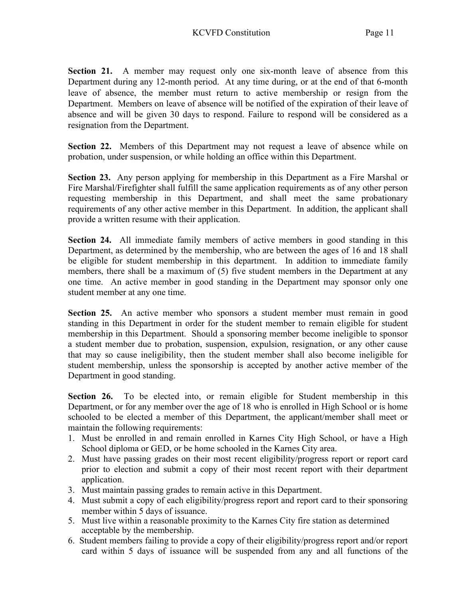Section 21. A member may request only one six-month leave of absence from this Department during any 12-month period. At any time during, or at the end of that 6-month leave of absence, the member must return to active membership or resign from the Department. Members on leave of absence will be notified of the expiration of their leave of absence and will be given 30 days to respond. Failure to respond will be considered as a resignation from the Department.

Section 22. Members of this Department may not request a leave of absence while on probation, under suspension, or while holding an office within this Department.

Section 23. Any person applying for membership in this Department as a Fire Marshal or Fire Marshal/Firefighter shall fulfill the same application requirements as of any other person requesting membership in this Department, and shall meet the same probationary requirements of any other active member in this Department. In addition, the applicant shall provide a written resume with their application.

Section 24. All immediate family members of active members in good standing in this Department, as determined by the membership, who are between the ages of 16 and 18 shall be eligible for student membership in this department. In addition to immediate family members, there shall be a maximum of (5) five student members in the Department at any one time. An active member in good standing in the Department may sponsor only one student member at any one time.

Section 25. An active member who sponsors a student member must remain in good standing in this Department in order for the student member to remain eligible for student membership in this Department. Should a sponsoring member become ineligible to sponsor a student member due to probation, suspension, expulsion, resignation, or any other cause that may so cause ineligibility, then the student member shall also become ineligible for student membership, unless the sponsorship is accepted by another active member of the Department in good standing.

Section 26. To be elected into, or remain eligible for Student membership in this Department, or for any member over the age of 18 who is enrolled in High School or is home schooled to be elected a member of this Department, the applicant/member shall meet or maintain the following requirements:

- 1. Must be enrolled in and remain enrolled in Karnes City High School, or have a High School diploma or GED, or be home schooled in the Karnes City area.
- 2. Must have passing grades on their most recent eligibility/progress report or report card prior to election and submit a copy of their most recent report with their department application.
- 3. Must maintain passing grades to remain active in this Department.
- 4. Must submit a copy of each eligibility/progress report and report card to their sponsoring member within 5 days of issuance.
- 5. Must live within a reasonable proximity to the Karnes City fire station as determined acceptable by the membership.
- 6. Student members failing to provide a copy of their eligibility/progress report and/or report card within 5 days of issuance will be suspended from any and all functions of the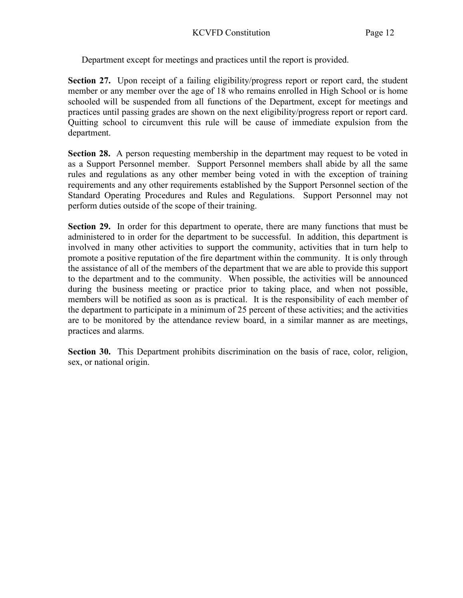Department except for meetings and practices until the report is provided.

Section 27. Upon receipt of a failing eligibility/progress report or report card, the student member or any member over the age of 18 who remains enrolled in High School or is home schooled will be suspended from all functions of the Department, except for meetings and practices until passing grades are shown on the next eligibility/progress report or report card. Quitting school to circumvent this rule will be cause of immediate expulsion from the department.

Section 28. A person requesting membership in the department may request to be voted in as a Support Personnel member. Support Personnel members shall abide by all the same rules and regulations as any other member being voted in with the exception of training requirements and any other requirements established by the Support Personnel section of the Standard Operating Procedures and Rules and Regulations. Support Personnel may not perform duties outside of the scope of their training.

Section 29. In order for this department to operate, there are many functions that must be administered to in order for the department to be successful. In addition, this department is involved in many other activities to support the community, activities that in turn help to promote a positive reputation of the fire department within the community. It is only through the assistance of all of the members of the department that we are able to provide this support to the department and to the community. When possible, the activities will be announced during the business meeting or practice prior to taking place, and when not possible, members will be notified as soon as is practical. It is the responsibility of each member of the department to participate in a minimum of 25 percent of these activities; and the activities are to be monitored by the attendance review board, in a similar manner as are meetings, practices and alarms.

Section 30. This Department prohibits discrimination on the basis of race, color, religion, sex, or national origin.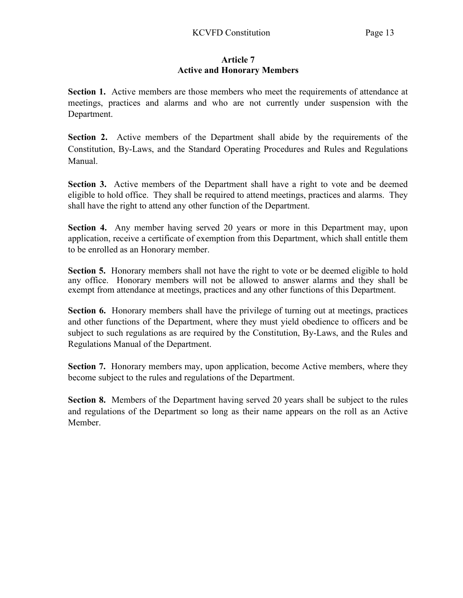## Article 7 Active and Honorary Members

Section 1. Active members are those members who meet the requirements of attendance at meetings, practices and alarms and who are not currently under suspension with the Department.

Section 2. Active members of the Department shall abide by the requirements of the Constitution, By-Laws, and the Standard Operating Procedures and Rules and Regulations Manual.

Section 3. Active members of the Department shall have a right to vote and be deemed eligible to hold office. They shall be required to attend meetings, practices and alarms. They shall have the right to attend any other function of the Department.

Section 4. Any member having served 20 years or more in this Department may, upon application, receive a certificate of exemption from this Department, which shall entitle them to be enrolled as an Honorary member.

Section 5. Honorary members shall not have the right to vote or be deemed eligible to hold any office. Honorary members will not be allowed to answer alarms and they shall be exempt from attendance at meetings, practices and any other functions of this Department.

Section 6. Honorary members shall have the privilege of turning out at meetings, practices and other functions of the Department, where they must yield obedience to officers and be subject to such regulations as are required by the Constitution, By-Laws, and the Rules and Regulations Manual of the Department.

Section 7. Honorary members may, upon application, become Active members, where they become subject to the rules and regulations of the Department.

Section 8. Members of the Department having served 20 years shall be subject to the rules and regulations of the Department so long as their name appears on the roll as an Active Member.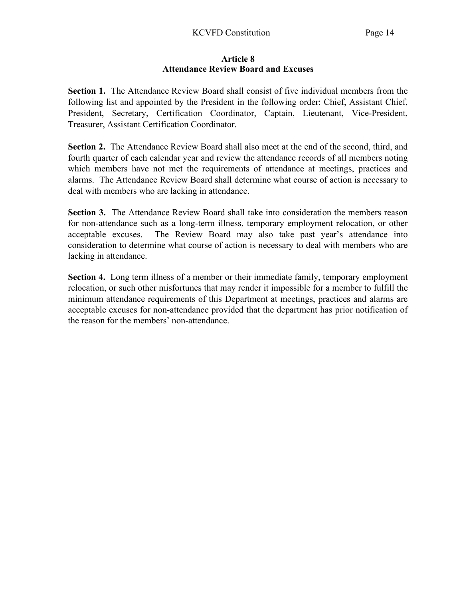#### Article 8 Attendance Review Board and Excuses

Section 1. The Attendance Review Board shall consist of five individual members from the following list and appointed by the President in the following order: Chief, Assistant Chief, President, Secretary, Certification Coordinator, Captain, Lieutenant, Vice-President, Treasurer, Assistant Certification Coordinator.

Section 2. The Attendance Review Board shall also meet at the end of the second, third, and fourth quarter of each calendar year and review the attendance records of all members noting which members have not met the requirements of attendance at meetings, practices and alarms. The Attendance Review Board shall determine what course of action is necessary to deal with members who are lacking in attendance.

Section 3. The Attendance Review Board shall take into consideration the members reason for non-attendance such as a long-term illness, temporary employment relocation, or other acceptable excuses. The Review Board may also take past year's attendance into consideration to determine what course of action is necessary to deal with members who are lacking in attendance.

Section 4. Long term illness of a member or their immediate family, temporary employment relocation, or such other misfortunes that may render it impossible for a member to fulfill the minimum attendance requirements of this Department at meetings, practices and alarms are acceptable excuses for non-attendance provided that the department has prior notification of the reason for the members' non-attendance.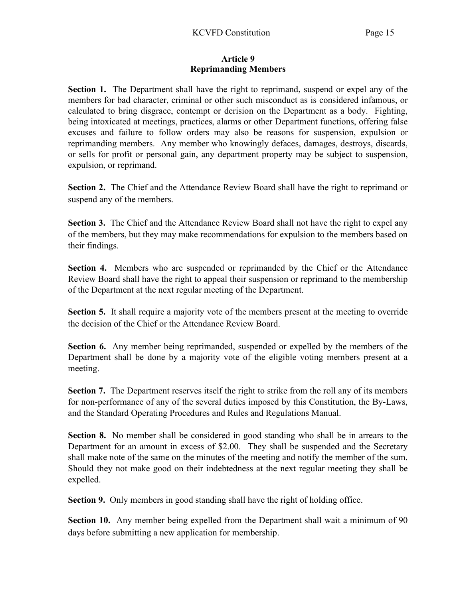#### Article 9 Reprimanding Members

Section 1. The Department shall have the right to reprimand, suspend or expel any of the members for bad character, criminal or other such misconduct as is considered infamous, or calculated to bring disgrace, contempt or derision on the Department as a body. Fighting, being intoxicated at meetings, practices, alarms or other Department functions, offering false excuses and failure to follow orders may also be reasons for suspension, expulsion or reprimanding members. Any member who knowingly defaces, damages, destroys, discards, or sells for profit or personal gain, any department property may be subject to suspension, expulsion, or reprimand.

Section 2. The Chief and the Attendance Review Board shall have the right to reprimand or suspend any of the members.

Section 3. The Chief and the Attendance Review Board shall not have the right to expel any of the members, but they may make recommendations for expulsion to the members based on their findings.

Section 4. Members who are suspended or reprimanded by the Chief or the Attendance Review Board shall have the right to appeal their suspension or reprimand to the membership of the Department at the next regular meeting of the Department.

Section 5. It shall require a majority vote of the members present at the meeting to override the decision of the Chief or the Attendance Review Board.

Section 6. Any member being reprimanded, suspended or expelled by the members of the Department shall be done by a majority vote of the eligible voting members present at a meeting.

Section 7. The Department reserves itself the right to strike from the roll any of its members for non-performance of any of the several duties imposed by this Constitution, the By-Laws, and the Standard Operating Procedures and Rules and Regulations Manual.

Section 8. No member shall be considered in good standing who shall be in arrears to the Department for an amount in excess of \$2.00. They shall be suspended and the Secretary shall make note of the same on the minutes of the meeting and notify the member of the sum. Should they not make good on their indebtedness at the next regular meeting they shall be expelled.

Section 9. Only members in good standing shall have the right of holding office.

Section 10. Any member being expelled from the Department shall wait a minimum of 90 days before submitting a new application for membership.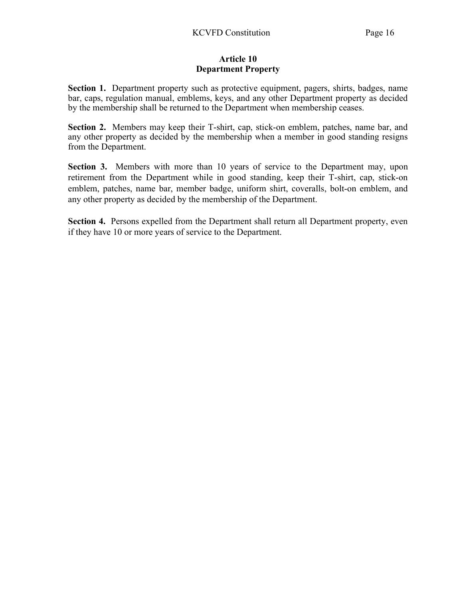#### Article 10 Department Property

Section 1. Department property such as protective equipment, pagers, shirts, badges, name bar, caps, regulation manual, emblems, keys, and any other Department property as decided by the membership shall be returned to the Department when membership ceases.

Section 2. Members may keep their T-shirt, cap, stick-on emblem, patches, name bar, and any other property as decided by the membership when a member in good standing resigns from the Department.

Section 3. Members with more than 10 years of service to the Department may, upon retirement from the Department while in good standing, keep their T-shirt, cap, stick-on emblem, patches, name bar, member badge, uniform shirt, coveralls, bolt-on emblem, and any other property as decided by the membership of the Department.

Section 4. Persons expelled from the Department shall return all Department property, even if they have 10 or more years of service to the Department.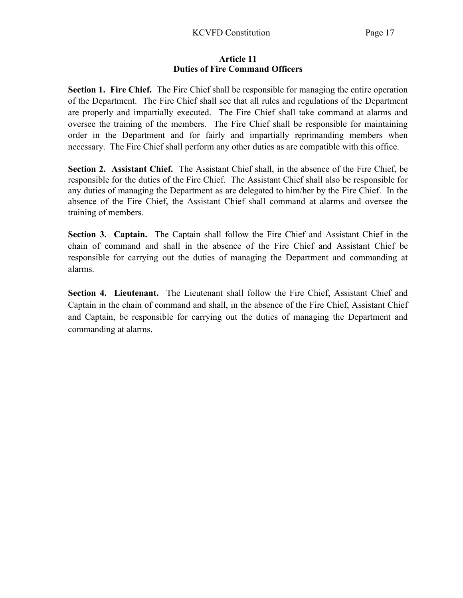#### Article 11 Duties of Fire Command Officers

Section 1. Fire Chief. The Fire Chief shall be responsible for managing the entire operation of the Department. The Fire Chief shall see that all rules and regulations of the Department are properly and impartially executed. The Fire Chief shall take command at alarms and oversee the training of the members. The Fire Chief shall be responsible for maintaining order in the Department and for fairly and impartially reprimanding members when necessary. The Fire Chief shall perform any other duties as are compatible with this office.

Section 2. Assistant Chief. The Assistant Chief shall, in the absence of the Fire Chief, be responsible for the duties of the Fire Chief. The Assistant Chief shall also be responsible for any duties of managing the Department as are delegated to him/her by the Fire Chief. In the absence of the Fire Chief, the Assistant Chief shall command at alarms and oversee the training of members.

Section 3. Captain. The Captain shall follow the Fire Chief and Assistant Chief in the chain of command and shall in the absence of the Fire Chief and Assistant Chief be responsible for carrying out the duties of managing the Department and commanding at alarms.

Section 4. Lieutenant. The Lieutenant shall follow the Fire Chief, Assistant Chief and Captain in the chain of command and shall, in the absence of the Fire Chief, Assistant Chief and Captain, be responsible for carrying out the duties of managing the Department and commanding at alarms.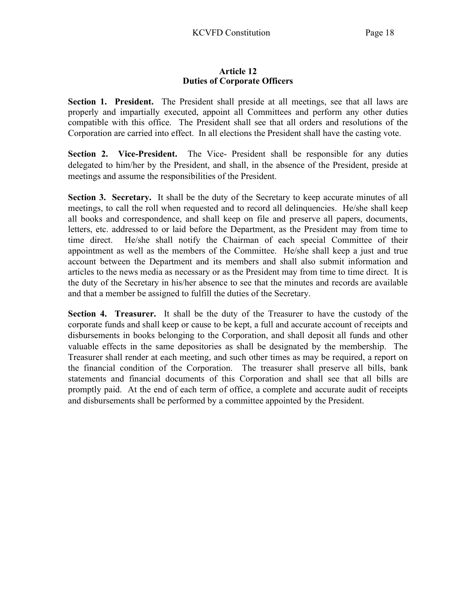## Article 12 Duties of Corporate Officers

Section 1. President. The President shall preside at all meetings, see that all laws are properly and impartially executed, appoint all Committees and perform any other duties compatible with this office. The President shall see that all orders and resolutions of the Corporation are carried into effect. In all elections the President shall have the casting vote.

Section 2. Vice-President. The Vice- President shall be responsible for any duties delegated to him/her by the President, and shall, in the absence of the President, preside at meetings and assume the responsibilities of the President.

Section 3. Secretary. It shall be the duty of the Secretary to keep accurate minutes of all meetings, to call the roll when requested and to record all delinquencies. He/she shall keep all books and correspondence, and shall keep on file and preserve all papers, documents, letters, etc. addressed to or laid before the Department, as the President may from time to time direct. He/she shall notify the Chairman of each special Committee of their appointment as well as the members of the Committee. He/she shall keep a just and true account between the Department and its members and shall also submit information and articles to the news media as necessary or as the President may from time to time direct. It is the duty of the Secretary in his/her absence to see that the minutes and records are available and that a member be assigned to fulfill the duties of the Secretary.

Section 4. Treasurer. It shall be the duty of the Treasurer to have the custody of the corporate funds and shall keep or cause to be kept, a full and accurate account of receipts and disbursements in books belonging to the Corporation, and shall deposit all funds and other valuable effects in the same depositories as shall be designated by the membership. The Treasurer shall render at each meeting, and such other times as may be required, a report on the financial condition of the Corporation. The treasurer shall preserve all bills, bank statements and financial documents of this Corporation and shall see that all bills are promptly paid. At the end of each term of office, a complete and accurate audit of receipts and disbursements shall be performed by a committee appointed by the President.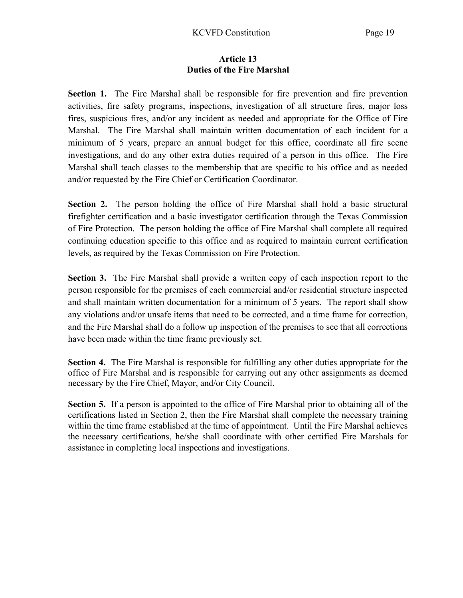#### Article 13 Duties of the Fire Marshal

Section 1. The Fire Marshal shall be responsible for fire prevention and fire prevention activities, fire safety programs, inspections, investigation of all structure fires, major loss fires, suspicious fires, and/or any incident as needed and appropriate for the Office of Fire Marshal. The Fire Marshal shall maintain written documentation of each incident for a minimum of 5 years, prepare an annual budget for this office, coordinate all fire scene investigations, and do any other extra duties required of a person in this office. The Fire Marshal shall teach classes to the membership that are specific to his office and as needed and/or requested by the Fire Chief or Certification Coordinator.

Section 2. The person holding the office of Fire Marshal shall hold a basic structural firefighter certification and a basic investigator certification through the Texas Commission of Fire Protection. The person holding the office of Fire Marshal shall complete all required continuing education specific to this office and as required to maintain current certification levels, as required by the Texas Commission on Fire Protection.

Section 3. The Fire Marshal shall provide a written copy of each inspection report to the person responsible for the premises of each commercial and/or residential structure inspected and shall maintain written documentation for a minimum of 5 years. The report shall show any violations and/or unsafe items that need to be corrected, and a time frame for correction, and the Fire Marshal shall do a follow up inspection of the premises to see that all corrections have been made within the time frame previously set.

Section 4. The Fire Marshal is responsible for fulfilling any other duties appropriate for the office of Fire Marshal and is responsible for carrying out any other assignments as deemed necessary by the Fire Chief, Mayor, and/or City Council.

Section 5. If a person is appointed to the office of Fire Marshal prior to obtaining all of the certifications listed in Section 2, then the Fire Marshal shall complete the necessary training within the time frame established at the time of appointment. Until the Fire Marshal achieves the necessary certifications, he/she shall coordinate with other certified Fire Marshals for assistance in completing local inspections and investigations.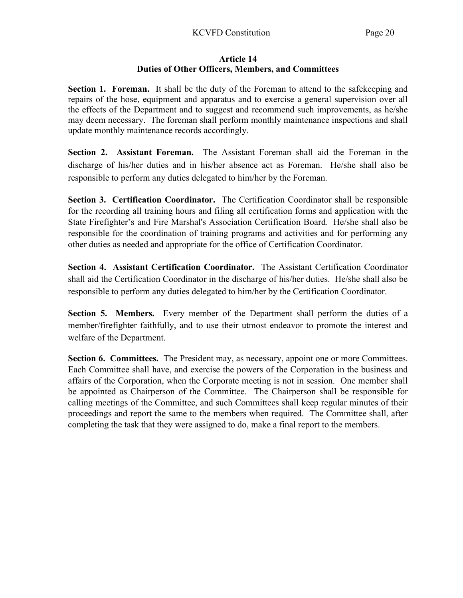## Article 14 Duties of Other Officers, Members, and Committees

Section 1. Foreman. It shall be the duty of the Foreman to attend to the safekeeping and repairs of the hose, equipment and apparatus and to exercise a general supervision over all the effects of the Department and to suggest and recommend such improvements, as he/she may deem necessary. The foreman shall perform monthly maintenance inspections and shall update monthly maintenance records accordingly.

Section 2. Assistant Foreman. The Assistant Foreman shall aid the Foreman in the discharge of his/her duties and in his/her absence act as Foreman. He/she shall also be responsible to perform any duties delegated to him/her by the Foreman.

Section 3. Certification Coordinator. The Certification Coordinator shall be responsible for the recording all training hours and filing all certification forms and application with the State Firefighter's and Fire Marshal's Association Certification Board. He/she shall also be responsible for the coordination of training programs and activities and for performing any other duties as needed and appropriate for the office of Certification Coordinator.

Section 4. Assistant Certification Coordinator. The Assistant Certification Coordinator shall aid the Certification Coordinator in the discharge of his/her duties. He/she shall also be responsible to perform any duties delegated to him/her by the Certification Coordinator.

Section 5. Members. Every member of the Department shall perform the duties of a member/firefighter faithfully, and to use their utmost endeavor to promote the interest and welfare of the Department.

Section 6. Committees. The President may, as necessary, appoint one or more Committees. Each Committee shall have, and exercise the powers of the Corporation in the business and affairs of the Corporation, when the Corporate meeting is not in session. One member shall be appointed as Chairperson of the Committee. The Chairperson shall be responsible for calling meetings of the Committee, and such Committees shall keep regular minutes of their proceedings and report the same to the members when required. The Committee shall, after completing the task that they were assigned to do, make a final report to the members.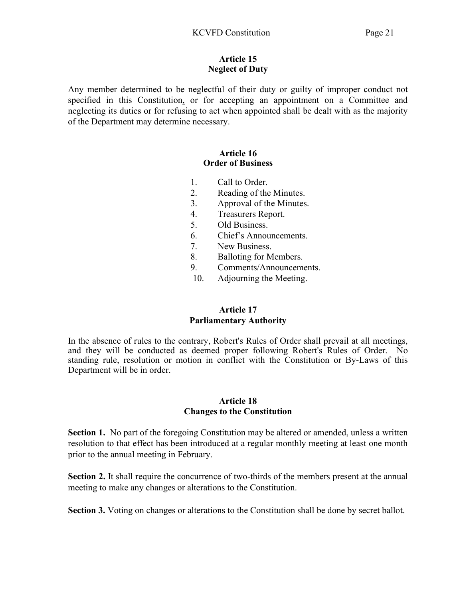#### Article 15 Neglect of Duty

Any member determined to be neglectful of their duty or guilty of improper conduct not specified in this Constitution, or for accepting an appointment on a Committee and neglecting its duties or for refusing to act when appointed shall be dealt with as the majority of the Department may determine necessary.

#### Article 16 Order of Business

- 1. Call to Order.
- 2. Reading of the Minutes.
- 3. Approval of the Minutes.
- 4. Treasurers Report.
- 5. Old Business.
- 6. Chief's Announcements.
- 7. New Business.
- 8. Balloting for Members.
- 9. Comments/Announcements.
- 10. Adjourning the Meeting.

# Article 17 Parliamentary Authority

In the absence of rules to the contrary, Robert's Rules of Order shall prevail at all meetings, and they will be conducted as deemed proper following Robert's Rules of Order. No standing rule, resolution or motion in conflict with the Constitution or By-Laws of this Department will be in order.

## Article 18 Changes to the Constitution

Section 1. No part of the foregoing Constitution may be altered or amended, unless a written resolution to that effect has been introduced at a regular monthly meeting at least one month prior to the annual meeting in February.

Section 2. It shall require the concurrence of two-thirds of the members present at the annual meeting to make any changes or alterations to the Constitution.

Section 3. Voting on changes or alterations to the Constitution shall be done by secret ballot.